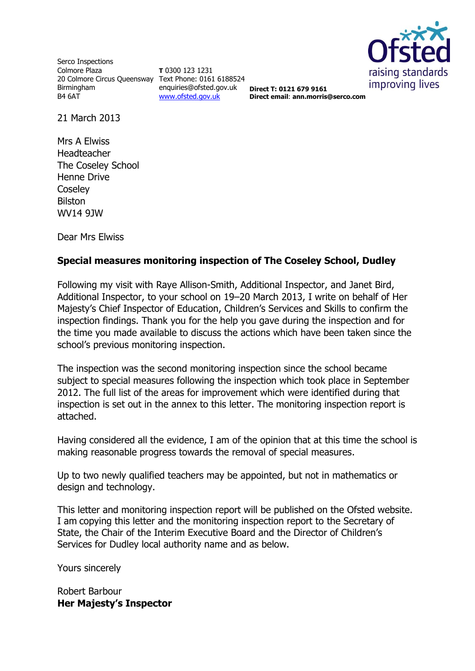

Serco Inspections Colmore Plaza 20 Colmore Circus Queensway Text Phone: 0161 6188524 Birmingham B4 6AT

**T** 0300 123 1231 enquiries@ofsted.gov.uk [www.ofsted.gov.uk](http://www.ofsted.gov.uk/)

**Direct T: 0121 679 9161 Direct email**: **ann.morris@serco.com**

21 March 2013

Mrs A Elwiss Headteacher The Coseley School Henne Drive **Coselev** Bilston WV14 9JW

Dear Mrs Elwiss

### **Special measures monitoring inspection of The Coseley School, Dudley**

Following my visit with Raye Allison-Smith, Additional Inspector, and Janet Bird, Additional Inspector, to your school on 19–20 March 2013, I write on behalf of Her Majesty's Chief Inspector of Education, Children's Services and Skills to confirm the inspection findings. Thank you for the help you gave during the inspection and for the time you made available to discuss the actions which have been taken since the school's previous monitoring inspection.

The inspection was the second monitoring inspection since the school became subject to special measures following the inspection which took place in September 2012. The full list of the areas for improvement which were identified during that inspection is set out in the annex to this letter. The monitoring inspection report is attached.

Having considered all the evidence, I am of the opinion that at this time the school is making reasonable progress towards the removal of special measures.

Up to two newly qualified teachers may be appointed, but not in mathematics or design and technology.

This letter and monitoring inspection report will be published on the Ofsted website. I am copying this letter and the monitoring inspection report to the Secretary of State, the Chair of the Interim Executive Board and the Director of Children's Services for Dudley local authority name and as below.

Yours sincerely

Robert Barbour **Her Majesty's Inspector**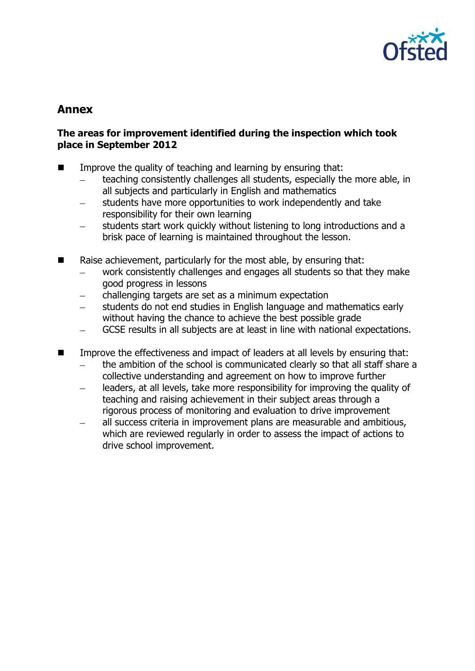

# **Annex**

## **The areas for improvement identified during the inspection which took place in September 2012**

- **IMPROVE THE GUALITY OF THE AND THE IMPROVE THE QUALITY OF THE CONCROOM I**ndiancement **I**ndiancement **I**ndiancement **I**ndiancement **Indiance**ment **Indiance**ment **Indiance**ment **Indiance**ment **Indiance**ment **Indiance** 
	- teaching consistently challenges all students, especially the more able, in all subjects and particularly in English and mathematics
	- students have more opportunities to work independently and take  $\equiv$ responsibility for their own learning
	- students start work quickly without listening to long introductions and a brisk pace of learning is maintained throughout the lesson.
- Raise achievement, particularly for the most able, by ensuring that:
	- work consistently challenges and engages all students so that they make good progress in lessons
	- challenging targets are set as a minimum expectation
	- students do not end studies in English language and mathematics early without having the chance to achieve the best possible grade
	- GCSE results in all subjects are at least in line with national expectations.
- Improve the effectiveness and impact of leaders at all levels by ensuring that:
	- the ambition of the school is communicated clearly so that all staff share a collective understanding and agreement on how to improve further
	- leaders, at all levels, take more responsibility for improving the quality of  $\equiv$ teaching and raising achievement in their subject areas through a rigorous process of monitoring and evaluation to drive improvement
	- all success criteria in improvement plans are measurable and ambitious, which are reviewed regularly in order to assess the impact of actions to drive school improvement.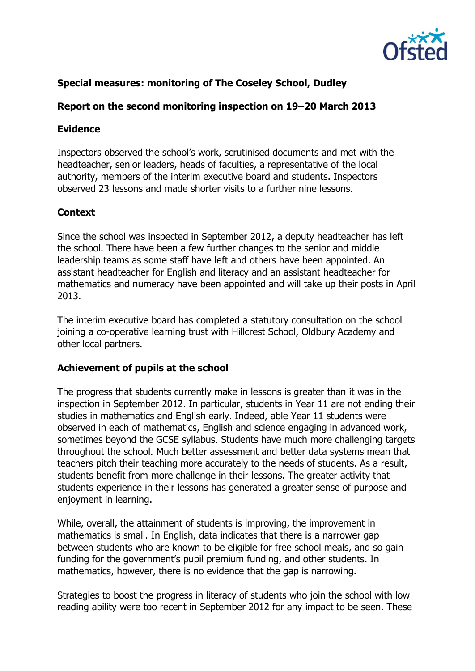

# **Special measures: monitoring of The Coseley School, Dudley**

## **Report on the second monitoring inspection on 19–20 March 2013**

### **Evidence**

Inspectors observed the school's work, scrutinised documents and met with the headteacher, senior leaders, heads of faculties, a representative of the local authority, members of the interim executive board and students. Inspectors observed 23 lessons and made shorter visits to a further nine lessons.

## **Context**

Since the school was inspected in September 2012, a deputy headteacher has left the school. There have been a few further changes to the senior and middle leadership teams as some staff have left and others have been appointed. An assistant headteacher for English and literacy and an assistant headteacher for mathematics and numeracy have been appointed and will take up their posts in April 2013.

The interim executive board has completed a statutory consultation on the school joining a co-operative learning trust with Hillcrest School, Oldbury Academy and other local partners.

### **Achievement of pupils at the school**

The progress that students currently make in lessons is greater than it was in the inspection in September 2012. In particular, students in Year 11 are not ending their studies in mathematics and English early. Indeed, able Year 11 students were observed in each of mathematics, English and science engaging in advanced work, sometimes beyond the GCSE syllabus. Students have much more challenging targets throughout the school. Much better assessment and better data systems mean that teachers pitch their teaching more accurately to the needs of students. As a result, students benefit from more challenge in their lessons. The greater activity that students experience in their lessons has generated a greater sense of purpose and enjoyment in learning.

While, overall, the attainment of students is improving, the improvement in mathematics is small. In English, data indicates that there is a narrower gap between students who are known to be eligible for free school meals, and so gain funding for the government's pupil premium funding, and other students. In mathematics, however, there is no evidence that the gap is narrowing.

Strategies to boost the progress in literacy of students who join the school with low reading ability were too recent in September 2012 for any impact to be seen. These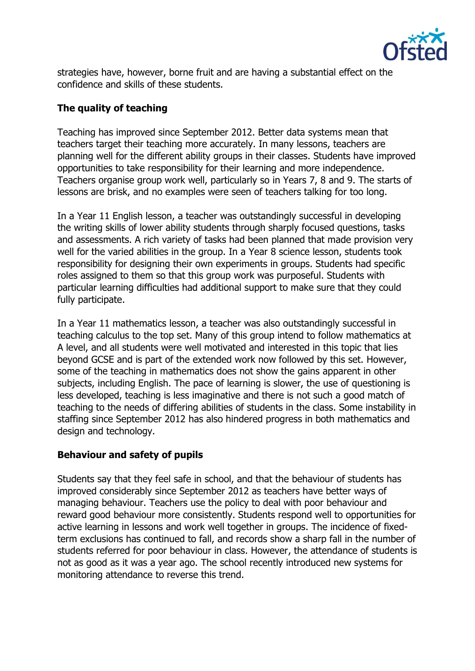

strategies have, however, borne fruit and are having a substantial effect on the confidence and skills of these students.

# **The quality of teaching**

Teaching has improved since September 2012. Better data systems mean that teachers target their teaching more accurately. In many lessons, teachers are planning well for the different ability groups in their classes. Students have improved opportunities to take responsibility for their learning and more independence. Teachers organise group work well, particularly so in Years 7, 8 and 9. The starts of lessons are brisk, and no examples were seen of teachers talking for too long.

In a Year 11 English lesson, a teacher was outstandingly successful in developing the writing skills of lower ability students through sharply focused questions, tasks and assessments. A rich variety of tasks had been planned that made provision very well for the varied abilities in the group. In a Year 8 science lesson, students took responsibility for designing their own experiments in groups. Students had specific roles assigned to them so that this group work was purposeful. Students with particular learning difficulties had additional support to make sure that they could fully participate.

In a Year 11 mathematics lesson, a teacher was also outstandingly successful in teaching calculus to the top set. Many of this group intend to follow mathematics at A level, and all students were well motivated and interested in this topic that lies beyond GCSE and is part of the extended work now followed by this set. However, some of the teaching in mathematics does not show the gains apparent in other subjects, including English. The pace of learning is slower, the use of questioning is less developed, teaching is less imaginative and there is not such a good match of teaching to the needs of differing abilities of students in the class. Some instability in staffing since September 2012 has also hindered progress in both mathematics and design and technology.

### **Behaviour and safety of pupils**

Students say that they feel safe in school, and that the behaviour of students has improved considerably since September 2012 as teachers have better ways of managing behaviour. Teachers use the policy to deal with poor behaviour and reward good behaviour more consistently. Students respond well to opportunities for active learning in lessons and work well together in groups. The incidence of fixedterm exclusions has continued to fall, and records show a sharp fall in the number of students referred for poor behaviour in class. However, the attendance of students is not as good as it was a year ago. The school recently introduced new systems for monitoring attendance to reverse this trend.